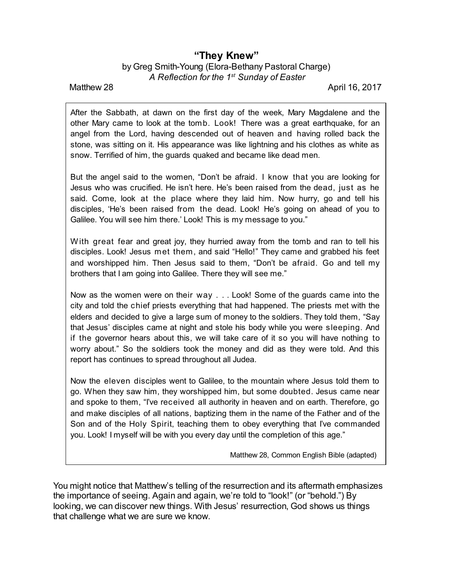## **"They Knew"**

by Greg Smith-Young (Elora-Bethany Pastoral Charge) *A Reflection for the 1 st Sunday of Easter*

Matthew 28 April 16, 2017

After the Sabbath, at dawn on the first day of the week, Mary Magdalene and the other Mary came to look at the tomb. Look! There was a great earthquake, for an angel from the Lord, having descended out of heaven and having rolled back the stone, was sitting on it. His appearance was like lightning and his clothes as white as snow. Terrified of him, the guards quaked and became like dead men.

But the angel said to the women, "Don't be afraid. I know that you are looking for Jesus who was crucified. He isn't here. He's been raised from the dead, just as he said. Come, look at the place where they laid him. Now hurry, go and tell his disciples, 'He's been raised from the dead. Look! He's going on ahead of you to Galilee. You will see him there.' Look! This is my message to you."

With great fear and great joy, they hurried away from the tomb and ran to tell his disciples. Look! Jesus met them, and said "Hello!" They came and grabbed his feet and worshipped him. Then Jesus said to them, "Don't be afraid. Go and tell my brothers that I am going into Galilee. There they will see me."

Now as the women were on their way . . . Look! Some of the guards came into the city and told the chief priests everything that had happened. The priests met with the elders and decided to give a large sum of money to the soldiers. They told them, "Say that Jesus' disciples came at night and stole his body while you were sleeping. And if the governor hears about this, we will take care of it so you will have nothing to worry about." So the soldiers took the money and did as they were told. And this report has continues to spread throughout all Judea.

Now the eleven disciples went to Galilee, to the mountain where Jesus told them to go. When they saw him, they worshipped him, but some doubted. Jesus came near and spoke to them, "I've received all authority in heaven and on earth. Therefore, go and make disciples of all nations, baptizing them in the name of the Father and of the Son and of the Holy Spirit, teaching them to obey everything that I've commanded you. Look! I myself will be with you every day until the completion of this age."

Matthew 28, Common English Bible (adapted)

You might notice that Matthew's telling of the resurrection and its aftermath emphasizes the importance of seeing. Again and again, we're told to "look!" (or "behold.") By looking, we can discover new things. With Jesus' resurrection, God shows us things that challenge what we are sure we know.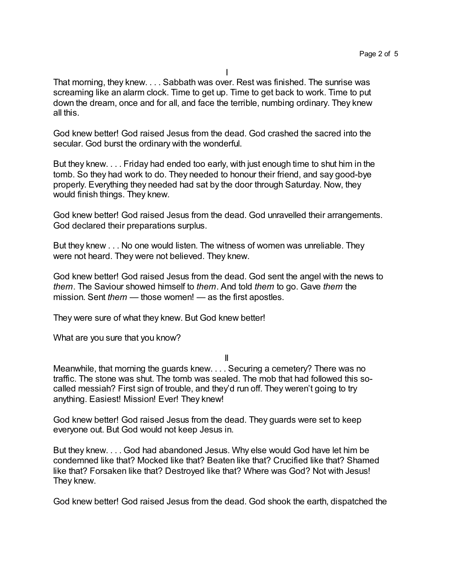That morning, they knew. . . . Sabbath was over. Rest was finished. The sunrise was screaming like an alarm clock. Time to get up. Time to get back to work. Time to put down the dream, once and for all, and face the terrible, numbing ordinary. They knew all this.

God knew better! God raised Jesus from the dead. God crashed the sacred into the secular. God burst the ordinary with the wonderful.

But they knew. . . . Friday had ended too early, with just enough time to shut him in the tomb. So they had work to do. They needed to honour their friend, and say good-bye properly. Everything they needed had sat by the door through Saturday. Now, they would finish things. They knew.

God knew better! God raised Jesus from the dead. God unravelled their arrangements. God declared their preparations surplus.

But they knew . . . No one would listen. The witness of women was unreliable. They were not heard. They were not believed. They knew.

God knew better! God raised Jesus from the dead. God sent the angel with the news to *them*. The Saviour showed himself to *them*. And told *them* to go. Gave *them* the mission. Sent *them* — those women! — as the first apostles.

They were sure of what they knew. But God knew better!

What are you sure that you know?

II

Meanwhile, that morning the guards knew. . . . Securing a cemetery? There was no traffic. The stone was shut. The tomb was sealed. The mob that had followed this socalled messiah? First sign of trouble, and they'd run off. They weren't going to try anything. Easiest! Mission! Ever! They knew!

God knew better! God raised Jesus from the dead. They guards were set to keep everyone out. But God would not keep Jesus in.

But they knew. . . . God had abandoned Jesus. Why else would God have let him be condemned like that? Mocked like that? Beaten like that? Crucified like that? Shamed like that? Forsaken like that? Destroyed like that? Where was God? Not with Jesus! They knew.

God knew better! God raised Jesus from the dead. God shook the earth, dispatched the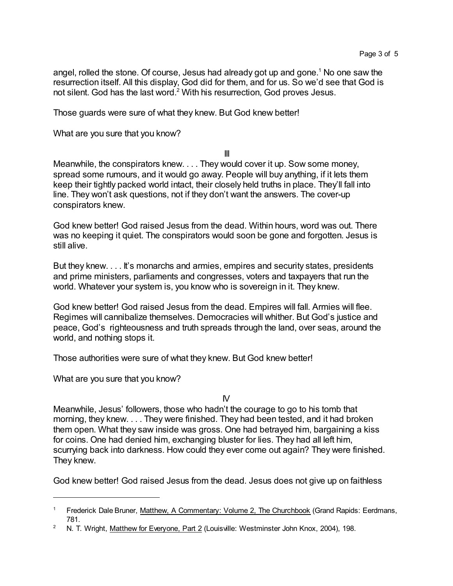angel, rolled the stone. Of course, Jesus had already got up and gone.<sup>1</sup> No one saw the resurrection itself. All this display, God did for them, and for us. So we'd see that God is not silent. God has the last word.<sup>2</sup> With his resurrection, God proves Jesus.

Those guards were sure of what they knew. But God knew better!

What are you sure that you know?

III

Meanwhile, the conspirators knew. . . . They would cover it up. Sow some money, spread some rumours, and it would go away. People will buy anything, if it lets them keep their tightly packed world intact, their closely held truths in place. They'll fall into line. They won't ask questions, not if they don't want the answers. The cover-up conspirators knew.

God knew better! God raised Jesus from the dead. Within hours, word was out. There was no keeping it quiet. The conspirators would soon be gone and forgotten. Jesus is still alive.

But they knew. . . . It's monarchs and armies, empires and security states, presidents and prime ministers, parliaments and congresses, voters and taxpayers that run the world. Whatever your system is, you know who is sovereign in it. They knew.

God knew better! God raised Jesus from the dead. Empires will fall. Armies will flee. Regimes will cannibalize themselves. Democracies will whither. But God's justice and peace, God's righteousness and truth spreads through the land, over seas, around the world, and nothing stops it.

Those authorities were sure of what they knew. But God knew better!

What are you sure that you know?

 $\mathsf{N}$ 

Meanwhile, Jesus' followers, those who hadn't the courage to go to his tomb that morning, they knew. . . . They were finished. They had been tested, and it had broken them open. What they saw inside was gross. One had betrayed him, bargaining a kiss for coins. One had denied him, exchanging bluster for lies. They had all left him, scurrying back into darkness. How could they ever come out again? They were finished. They knew.

God knew better! God raised Jesus from the dead. Jesus does not give up on faithless

<sup>&</sup>lt;sup>1</sup> Frederick Dale Bruner, Matthew, A Commentary: Volume 2, The Churchbook (Grand Rapids: Eerdmans, 781.

<sup>&</sup>lt;sup>2</sup> N. T. Wright, Matthew for Everyone, Part 2 (Louisville: Westminster John Knox, 2004), 198.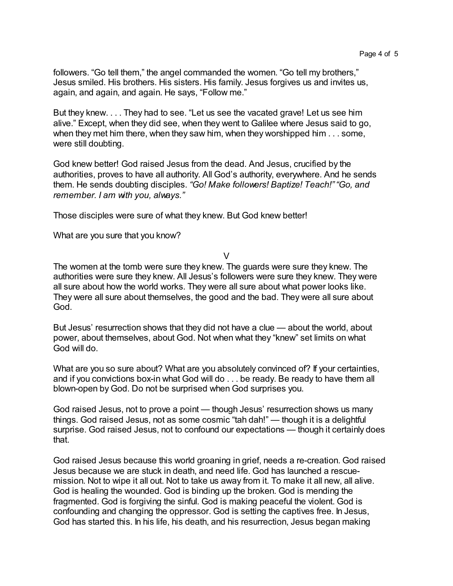followers. "Go tell them," the angel commanded the women. "Go tell my brothers," Jesus smiled. His brothers. His sisters. His family. Jesus forgives us and invites us, again, and again, and again. He says, "Follow me."

But they knew. . . . They had to see. "Let us see the vacated grave! Let us see him alive." Except, when they did see, when they went to Galilee where Jesus said to go, when they met him there, when they saw him, when they worshipped him . . . some, were still doubting.

God knew better! God raised Jesus from the dead. And Jesus, crucified by the authorities, proves to have all authority. All God's authority, everywhere. And he sends them. He sends doubting disciples. *"Go! Make followers! Baptize! Teach!" "Go, and remember. I am with you, always."*

Those disciples were sure of what they knew. But God knew better!

What are you sure that you know?

V

The women at the tomb were sure they knew. The guards were sure they knew. The authorities were sure they knew. All Jesus's followers were sure they knew. They were all sure about how the world works. They were all sure about what power looks like. They were all sure about themselves, the good and the bad. They were all sure about God.

But Jesus' resurrection shows that they did not have a clue — about the world, about power, about themselves, about God. Not when what they "knew" set limits on what God will do.

What are you so sure about? What are you absolutely convinced of? If your certainties, and if you convictions box-in what God will do . . . be ready. Be ready to have them all blown-open by God. Do not be surprised when God surprises you.

God raised Jesus, not to prove a point — though Jesus' resurrection shows us many things. God raised Jesus, not as some cosmic "tah dah!" — though it is a delightful surprise. God raised Jesus, not to confound our expectations — though it certainly does that.

God raised Jesus because this world groaning in grief, needs a re-creation. God raised Jesus because we are stuck in death, and need life. God has launched a rescuemission. Not to wipe it all out. Not to take us away from it. To make it all new, all alive. God is healing the wounded. God is binding up the broken. God is mending the fragmented. God is forgiving the sinful. God is making peaceful the violent. God is confounding and changing the oppressor. God is setting the captives free. In Jesus, God has started this. In his life, his death, and his resurrection, Jesus began making